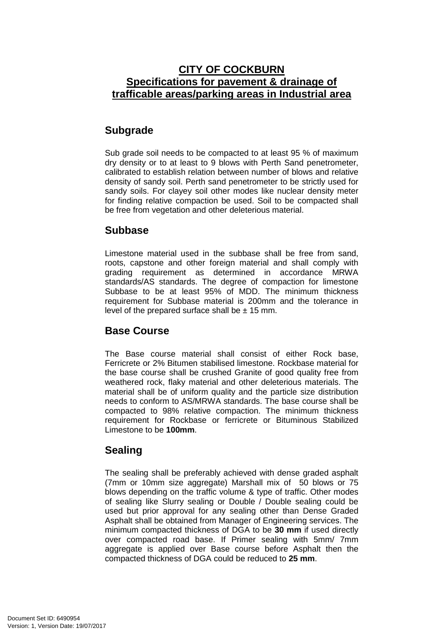## **CITY OF COCKBURN Specifications for pavement & drainage of trafficable areas/parking areas in Industrial area**

# **Subgrade**

Sub grade soil needs to be compacted to at least 95 % of maximum dry density or to at least to 9 blows with Perth Sand penetrometer, calibrated to establish relation between number of blows and relative density of sandy soil. Perth sand penetrometer to be strictly used for sandy soils. For clayey soil other modes like nuclear density meter for finding relative compaction be used. Soil to be compacted shall be free from vegetation and other deleterious material.

### **Subbase**

Limestone material used in the subbase shall be free from sand, roots, capstone and other foreign material and shall comply with grading requirement as determined in accordance MRWA standards/AS standards. The degree of compaction for limestone Subbase to be at least 95% of MDD. The minimum thickness requirement for Subbase material is 200mm and the tolerance in level of the prepared surface shall be  $\pm$  15 mm.

#### **Base Course**

The Base course material shall consist of either Rock base, Ferricrete or 2% Bitumen stabilised limestone. Rockbase material for the base course shall be crushed Granite of good quality free from weathered rock, flaky material and other deleterious materials. The material shall be of uniform quality and the particle size distribution needs to conform to AS/MRWA standards. The base course shall be compacted to 98% relative compaction. The minimum thickness requirement for Rockbase or ferricrete or Bituminous Stabilized Limestone to be **100mm**.

## **Sealing**

The sealing shall be preferably achieved with dense graded asphalt (7mm or 10mm size aggregate) Marshall mix of 50 blows or 75 blows depending on the traffic volume & type of traffic. Other modes of sealing like Slurry sealing or Double / Double sealing could be used but prior approval for any sealing other than Dense Graded Asphalt shall be obtained from Manager of Engineering services. The minimum compacted thickness of DGA to be **30 mm** if used directly over compacted road base. If Primer sealing with 5mm/ 7mm aggregate is applied over Base course before Asphalt then the compacted thickness of DGA could be reduced to **25 mm**.